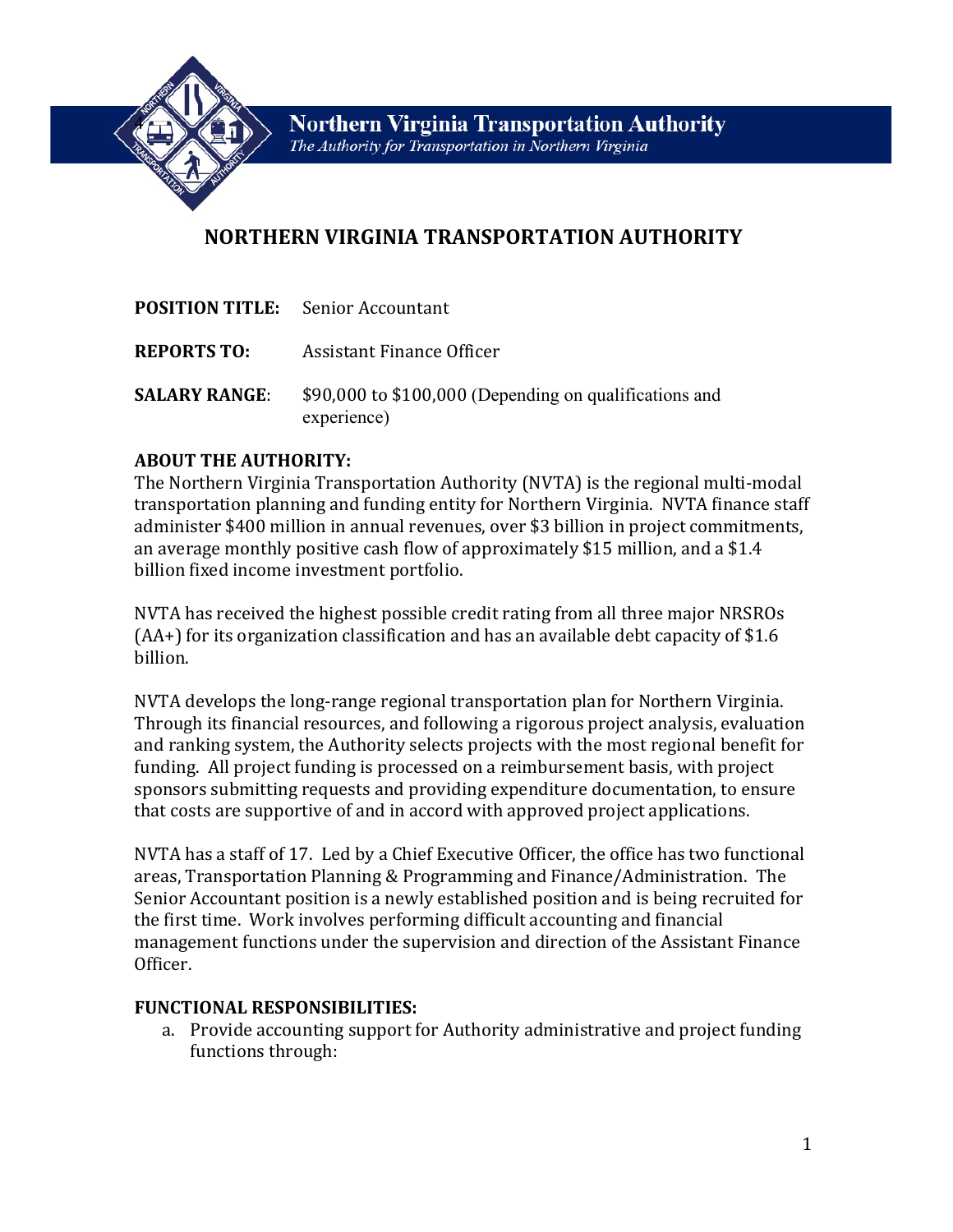

# **NORTHERN VIRGINIA TRANSPORTATION AUTHORITY**

|                      | <b>POSITION TITLE:</b> Senior Accountant                              |
|----------------------|-----------------------------------------------------------------------|
| <b>REPORTS TO:</b>   | Assistant Finance Officer                                             |
| <b>SALARY RANGE:</b> | \$90,000 to \$100,000 (Depending on qualifications and<br>experience) |

# **ABOUT THE AUTHORITY:**

The Northern Virginia Transportation Authority (NVTA) is the regional multi-modal transportation planning and funding entity for Northern Virginia. NVTA finance staff administer \$400 million in annual revenues, over \$3 billion in project commitments, an average monthly positive cash flow of approximately \$15 million, and a \$1.4 billion fixed income investment portfolio.

NVTA has received the highest possible credit rating from all three major NRSROs (AA+) for its organization classification and has an available debt capacity of \$1.6 billion.

NVTA develops the long-range regional transportation plan for Northern Virginia. Through its financial resources, and following a rigorous project analysis, evaluation and ranking system, the Authority selects projects with the most regional benefit for funding. All project funding is processed on a reimbursement basis, with project sponsors submitting requests and providing expenditure documentation, to ensure that costs are supportive of and in accord with approved project applications.

NVTA has a staff of 17. Led by a Chief Executive Officer, the office has two functional areas, Transportation Planning & Programming and Finance/Administration. The Senior Accountant position is a newly established position and is being recruited for the first time. Work involves performing difficult accounting and financial management functions under the supervision and direction of the Assistant Finance Officer.

# **FUNCTIONAL RESPONSIBILITIES:**

a. Provide accounting support for Authority administrative and project funding functions through: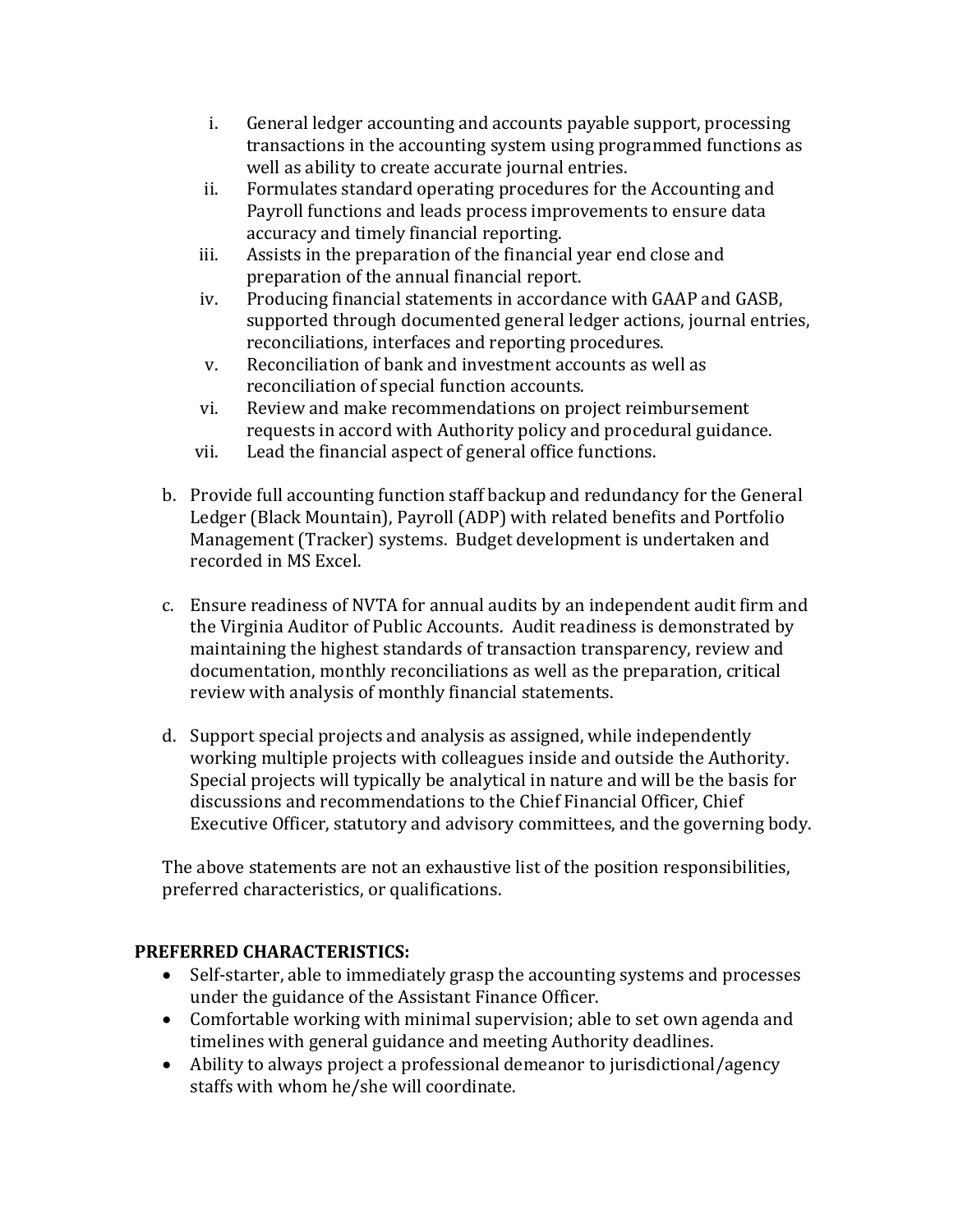- i. General ledger accounting and accounts payable support, processing transactions in the accounting system using programmed functions as well as ability to create accurate journal entries.
- ii. Formulates standard operating procedures for the Accounting and Payroll functions and leads process improvements to ensure data accuracy and timely financial reporting.
- iii. Assists in the preparation of the financial year end close and preparation of the annual financial report.
- iv. Producing financial statements in accordance with GAAP and GASB, supported through documented general ledger actions, journal entries, reconciliations, interfaces and reporting procedures.
- v. Reconciliation of bank and investment accounts as well as reconciliation of special function accounts.
- vi. Review and make recommendations on project reimbursement requests in accord with Authority policy and procedural guidance.
- vii. Lead the financial aspect of general office functions.
- b. Provide full accounting function staff backup and redundancy for the General Ledger (Black Mountain), Payroll (ADP) with related benefits and Portfolio Management (Tracker) systems. Budget development is undertaken and recorded in MS Excel.
- c. Ensure readiness of NVTA for annual audits by an independent audit firm and the Virginia Auditor of Public Accounts. Audit readiness is demonstrated by maintaining the highest standards of transaction transparency, review and documentation, monthly reconciliations as well as the preparation, critical review with analysis of monthly financial statements.
- d. Support special projects and analysis as assigned, while independently working multiple projects with colleagues inside and outside the Authority. Special projects will typically be analytical in nature and will be the basis for discussions and recommendations to the Chief Financial Officer, Chief Executive Officer, statutory and advisory committees, and the governing body.

The above statements are not an exhaustive list of the position responsibilities, preferred characteristics, or qualifications.

# **PREFERRED CHARACTERISTICS:**

- Self-starter, able to immediately grasp the accounting systems and processes under the guidance of the Assistant Finance Officer.
- Comfortable working with minimal supervision; able to set own agenda and timelines with general guidance and meeting Authority deadlines.
- Ability to always project a professional demeanor to jurisdictional/agency staffs with whom he/she will coordinate.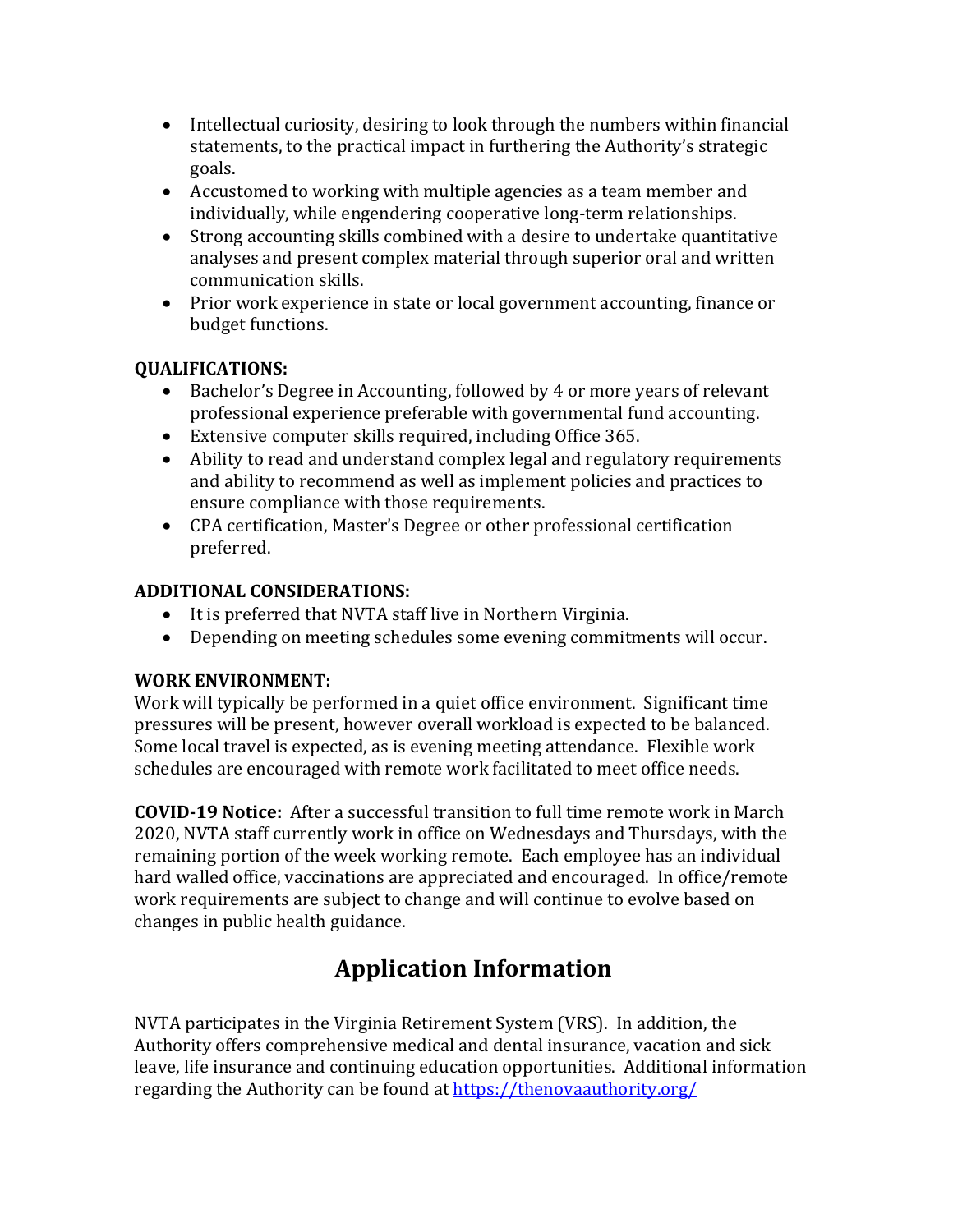- Intellectual curiosity, desiring to look through the numbers within financial statements, to the practical impact in furthering the Authority's strategic goals.
- Accustomed to working with multiple agencies as a team member and individually, while engendering cooperative long-term relationships.
- Strong accounting skills combined with a desire to undertake quantitative analyses and present complex material through superior oral and written communication skills.
- Prior work experience in state or local government accounting, finance or budget functions.

# **QUALIFICATIONS:**

- Bachelor's Degree in Accounting, followed by 4 or more years of relevant professional experience preferable with governmental fund accounting.
- Extensive computer skills required, including Office 365.
- Ability to read and understand complex legal and regulatory requirements and ability to recommend as well as implement policies and practices to ensure compliance with those requirements.
- CPA certification, Master's Degree or other professional certification preferred.

# **ADDITIONAL CONSIDERATIONS:**

- It is preferred that NVTA staff live in Northern Virginia.
- Depending on meeting schedules some evening commitments will occur.

# **WORK ENVIRONMENT:**

Work will typically be performed in a quiet office environment. Significant time pressures will be present, however overall workload is expected to be balanced. Some local travel is expected, as is evening meeting attendance. Flexible work schedules are encouraged with remote work facilitated to meet office needs.

**COVID-19 Notice:** After a successful transition to full time remote work in March 2020, NVTA staff currently work in office on Wednesdays and Thursdays, with the remaining portion of the week working remote. Each employee has an individual hard walled office, vaccinations are appreciated and encouraged. In office/remote work requirements are subject to change and will continue to evolve based on changes in public health guidance.

# **Application Information**

NVTA participates in the Virginia Retirement System (VRS). In addition, the Authority offers comprehensive medical and dental insurance, vacation and sick leave, life insurance and continuing education opportunities. Additional information regarding the Authority can be found at https://thenovaauthority.org/